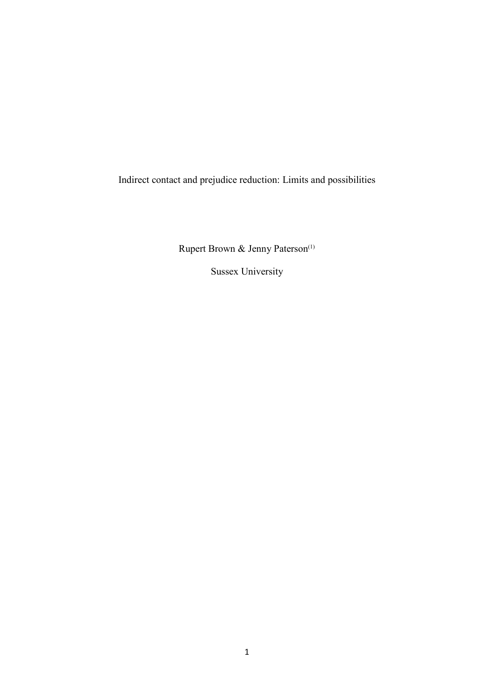Indirect contact and prejudice reduction: Limits and possibilities

Rupert Brown & Jenny Paterson<sup>(1)</sup>

Sussex University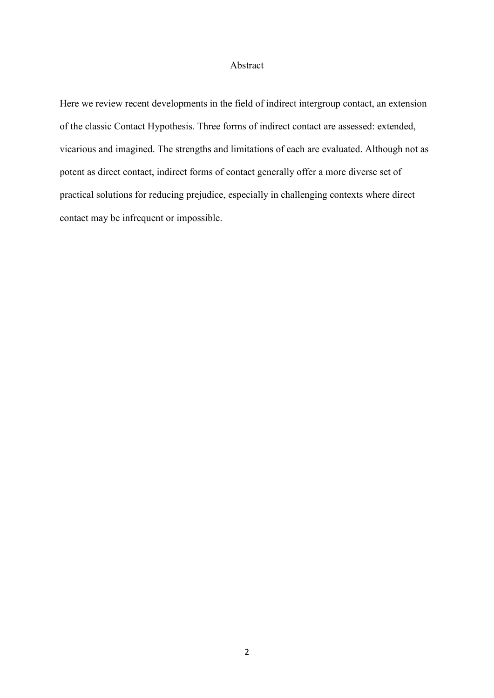#### Abstract

Here we review recent developments in the field of indirect intergroup contact, an extension of the classic Contact Hypothesis. Three forms of indirect contact are assessed: extended, vicarious and imagined. The strengths and limitations of each are evaluated. Although not as potent as direct contact, indirect forms of contact generally offer a more diverse set of practical solutions for reducing prejudice, especially in challenging contexts where direct contact may be infrequent or impossible.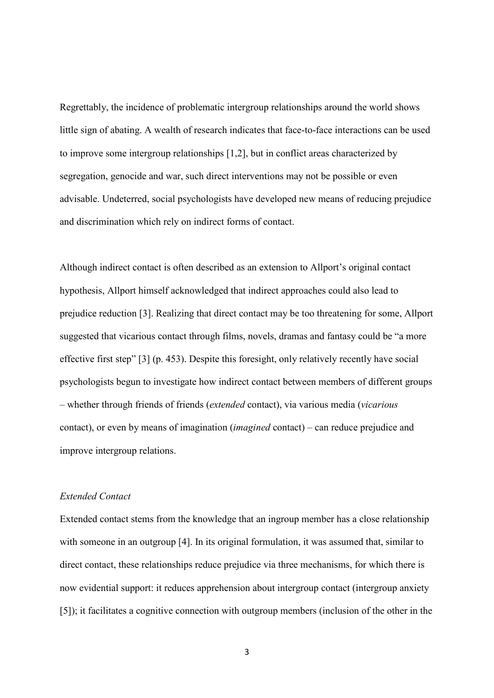Regrettably, the incidence of problematic intergroup relationships around the world shows little sign of abating. A wealth of research indicates that face-to-face interactions can be used to improve some intergroup relationships [1,2], but in conflict areas characterized by segregation, genocide and war, such direct interventions may not be possible or even advisable. Undeterred, social psychologists have developed new means of reducing prejudice and discrimination which rely on indirect forms of contact.

Although indirect contact is often described as an extension to Allport's original contact hypothesis, Allport himself acknowledged that indirect approaches could also lead to prejudice reduction [3]. Realizing that direct contact may be too threatening for some, Allport suggested that vicarious contact through films, novels, dramas and fantasy could be "a more effective first step" [3] (p. 453). Despite this foresight, only relatively recently have social psychologists begun to investigate how indirect contact between members of different groups – whether through friends of friends (*extended* contact), via various media (*vicarious* contact), or even by means of imagination (*imagined* contact) – can reduce prejudice and improve intergroup relations.

# *Extended Contact*

Extended contact stems from the knowledge that an ingroup member has a close relationship with someone in an outgroup [4]. In its original formulation, it was assumed that, similar to direct contact, these relationships reduce prejudice via three mechanisms, for which there is now evidential support: it reduces apprehension about intergroup contact (intergroup anxiety [5]); it facilitates a cognitive connection with outgroup members (inclusion of the other in the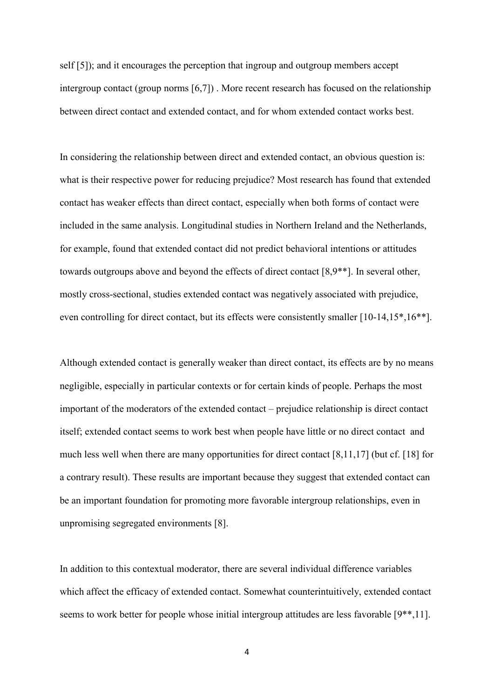self [5]); and it encourages the perception that ingroup and outgroup members accept intergroup contact (group norms [6,7]) . More recent research has focused on the relationship between direct contact and extended contact, and for whom extended contact works best.

In considering the relationship between direct and extended contact, an obvious question is: what is their respective power for reducing prejudice? Most research has found that extended contact has weaker effects than direct contact, especially when both forms of contact were included in the same analysis. Longitudinal studies in Northern Ireland and the Netherlands, for example, found that extended contact did not predict behavioral intentions or attitudes towards outgroups above and beyond the effects of direct contact [8,9\*\*]. In several other, mostly cross-sectional, studies extended contact was negatively associated with prejudice, even controlling for direct contact, but its effects were consistently smaller [10-14,15\*,16\*\*].

Although extended contact is generally weaker than direct contact, its effects are by no means negligible, especially in particular contexts or for certain kinds of people. Perhaps the most important of the moderators of the extended contact – prejudice relationship is direct contact itself; extended contact seems to work best when people have little or no direct contact and much less well when there are many opportunities for direct contact [8,11,17] (but cf. [18] for a contrary result). These results are important because they suggest that extended contact can be an important foundation for promoting more favorable intergroup relationships, even in unpromising segregated environments [8].

In addition to this contextual moderator, there are several individual difference variables which affect the efficacy of extended contact. Somewhat counterintuitively, extended contact seems to work better for people whose initial intergroup attitudes are less favorable [9\*\*,11].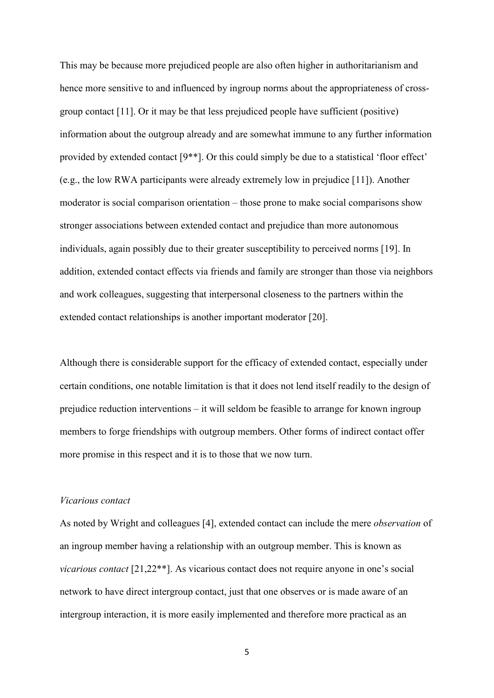This may be because more prejudiced people are also often higher in authoritarianism and hence more sensitive to and influenced by ingroup norms about the appropriateness of crossgroup contact [11]. Or it may be that less prejudiced people have sufficient (positive) information about the outgroup already and are somewhat immune to any further information provided by extended contact [9\*\*]. Or this could simply be due to a statistical 'floor effect' (e.g., the low RWA participants were already extremely low in prejudice [11]). Another moderator is social comparison orientation – those prone to make social comparisons show stronger associations between extended contact and prejudice than more autonomous individuals, again possibly due to their greater susceptibility to perceived norms [19]. In addition, extended contact effects via friends and family are stronger than those via neighbors and work colleagues, suggesting that interpersonal closeness to the partners within the extended contact relationships is another important moderator [20].

Although there is considerable support for the efficacy of extended contact, especially under certain conditions, one notable limitation is that it does not lend itself readily to the design of prejudice reduction interventions – it will seldom be feasible to arrange for known ingroup members to forge friendships with outgroup members. Other forms of indirect contact offer more promise in this respect and it is to those that we now turn.

#### *Vicarious contact*

As noted by Wright and colleagues [4], extended contact can include the mere *observation* of an ingroup member having a relationship with an outgroup member. This is known as *vicarious contact* [21,22\*\*]. As vicarious contact does not require anyone in one's social network to have direct intergroup contact, just that one observes or is made aware of an intergroup interaction, it is more easily implemented and therefore more practical as an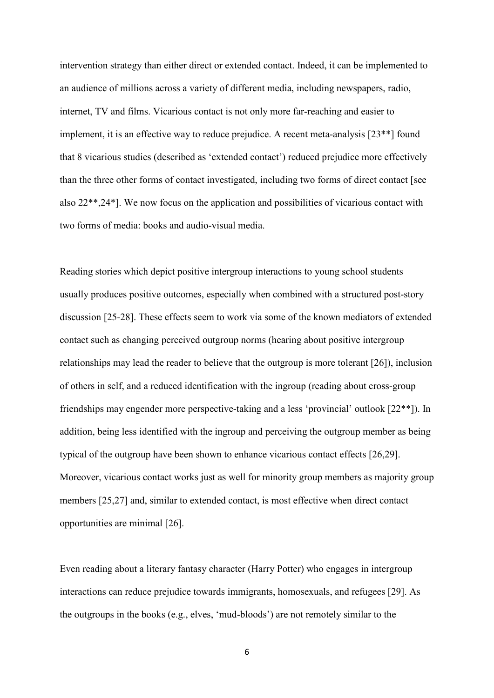intervention strategy than either direct or extended contact. Indeed, it can be implemented to an audience of millions across a variety of different media, including newspapers, radio, internet, TV and films. Vicarious contact is not only more far-reaching and easier to implement, it is an effective way to reduce prejudice. A recent meta-analysis [23\*\*] found that 8 vicarious studies (described as 'extended contact') reduced prejudice more effectively than the three other forms of contact investigated, including two forms of direct contact [see also 22\*\*,24\*]. We now focus on the application and possibilities of vicarious contact with two forms of media: books and audio-visual media.

Reading stories which depict positive intergroup interactions to young school students usually produces positive outcomes, especially when combined with a structured post-story discussion [25-28]. These effects seem to work via some of the known mediators of extended contact such as changing perceived outgroup norms (hearing about positive intergroup relationships may lead the reader to believe that the outgroup is more tolerant [26]), inclusion of others in self, and a reduced identification with the ingroup (reading about cross-group friendships may engender more perspective-taking and a less 'provincial' outlook [22\*\*]). In addition, being less identified with the ingroup and perceiving the outgroup member as being typical of the outgroup have been shown to enhance vicarious contact effects [26,29]. Moreover, vicarious contact works just as well for minority group members as majority group members [25,27] and, similar to extended contact, is most effective when direct contact opportunities are minimal [26].

Even reading about a literary fantasy character (Harry Potter) who engages in intergroup interactions can reduce prejudice towards immigrants, homosexuals, and refugees [29]. As the outgroups in the books (e.g., elves, 'mud-bloods') are not remotely similar to the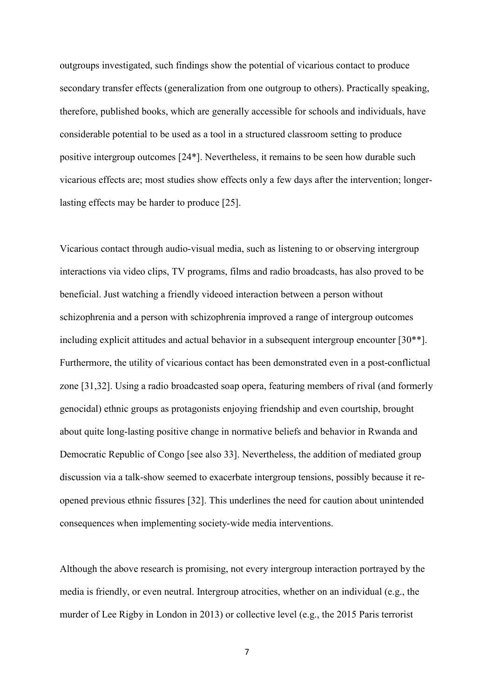outgroups investigated, such findings show the potential of vicarious contact to produce secondary transfer effects (generalization from one outgroup to others). Practically speaking, therefore, published books, which are generally accessible for schools and individuals, have considerable potential to be used as a tool in a structured classroom setting to produce positive intergroup outcomes [24\*]. Nevertheless, it remains to be seen how durable such vicarious effects are; most studies show effects only a few days after the intervention; longerlasting effects may be harder to produce [25].

Vicarious contact through audio-visual media, such as listening to or observing intergroup interactions via video clips, TV programs, films and radio broadcasts, has also proved to be beneficial. Just watching a friendly videoed interaction between a person without schizophrenia and a person with schizophrenia improved a range of intergroup outcomes including explicit attitudes and actual behavior in a subsequent intergroup encounter [30\*\*]. Furthermore, the utility of vicarious contact has been demonstrated even in a post-conflictual zone [31,32]. Using a radio broadcasted soap opera, featuring members of rival (and formerly genocidal) ethnic groups as protagonists enjoying friendship and even courtship, brought about quite long-lasting positive change in normative beliefs and behavior in Rwanda and Democratic Republic of Congo [see also 33]. Nevertheless, the addition of mediated group discussion via a talk-show seemed to exacerbate intergroup tensions, possibly because it reopened previous ethnic fissures [32]. This underlines the need for caution about unintended consequences when implementing society-wide media interventions.

Although the above research is promising, not every intergroup interaction portrayed by the media is friendly, or even neutral. Intergroup atrocities, whether on an individual (e.g., the murder of Lee Rigby in London in 2013) or collective level (e.g., the 2015 Paris terrorist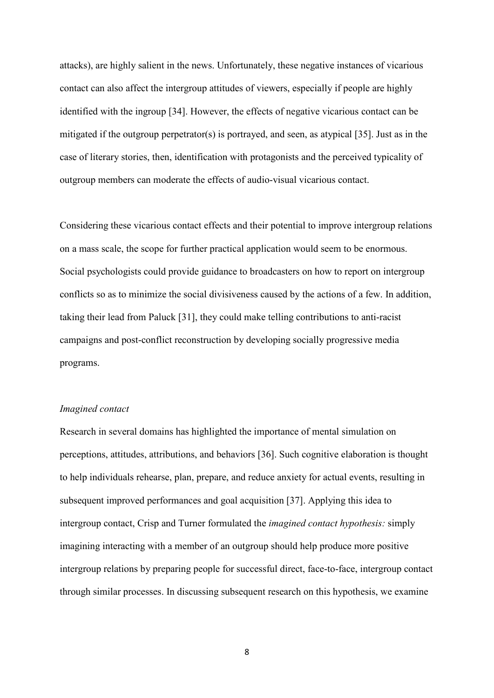attacks), are highly salient in the news. Unfortunately, these negative instances of vicarious contact can also affect the intergroup attitudes of viewers, especially if people are highly identified with the ingroup [34]. However, the effects of negative vicarious contact can be mitigated if the outgroup perpetrator(s) is portrayed, and seen, as atypical [35]. Just as in the case of literary stories, then, identification with protagonists and the perceived typicality of outgroup members can moderate the effects of audio-visual vicarious contact.

Considering these vicarious contact effects and their potential to improve intergroup relations on a mass scale, the scope for further practical application would seem to be enormous. Social psychologists could provide guidance to broadcasters on how to report on intergroup conflicts so as to minimize the social divisiveness caused by the actions of a few. In addition, taking their lead from Paluck [31], they could make telling contributions to anti-racist campaigns and post-conflict reconstruction by developing socially progressive media programs.

#### *Imagined contact*

Research in several domains has highlighted the importance of mental simulation on perceptions, attitudes, attributions, and behaviors [36]. Such cognitive elaboration is thought to help individuals rehearse, plan, prepare, and reduce anxiety for actual events, resulting in subsequent improved performances and goal acquisition [37]. Applying this idea to intergroup contact, Crisp and Turner formulated the *imagined contact hypothesis:* simply imagining interacting with a member of an outgroup should help produce more positive intergroup relations by preparing people for successful direct, face-to-face, intergroup contact through similar processes. In discussing subsequent research on this hypothesis, we examine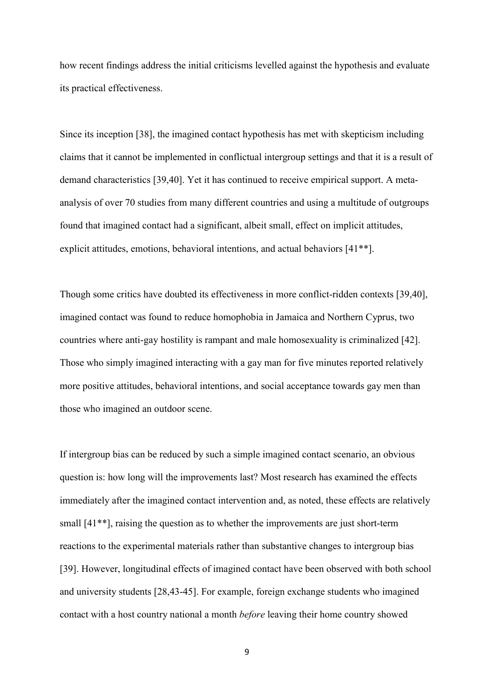how recent findings address the initial criticisms levelled against the hypothesis and evaluate its practical effectiveness.

Since its inception [38], the imagined contact hypothesis has met with skepticism including claims that it cannot be implemented in conflictual intergroup settings and that it is a result of demand characteristics [39,40]. Yet it has continued to receive empirical support. A metaanalysis of over 70 studies from many different countries and using a multitude of outgroups found that imagined contact had a significant, albeit small, effect on implicit attitudes, explicit attitudes, emotions, behavioral intentions, and actual behaviors [41\*\*].

Though some critics have doubted its effectiveness in more conflict-ridden contexts [39,40], imagined contact was found to reduce homophobia in Jamaica and Northern Cyprus, two countries where anti-gay hostility is rampant and male homosexuality is criminalized [42]. Those who simply imagined interacting with a gay man for five minutes reported relatively more positive attitudes, behavioral intentions, and social acceptance towards gay men than those who imagined an outdoor scene.

If intergroup bias can be reduced by such a simple imagined contact scenario, an obvious question is: how long will the improvements last? Most research has examined the effects immediately after the imagined contact intervention and, as noted, these effects are relatively small [41\*\*], raising the question as to whether the improvements are just short-term reactions to the experimental materials rather than substantive changes to intergroup bias [39]. However, longitudinal effects of imagined contact have been observed with both school and university students [28,43-45]. For example, foreign exchange students who imagined contact with a host country national a month *before* leaving their home country showed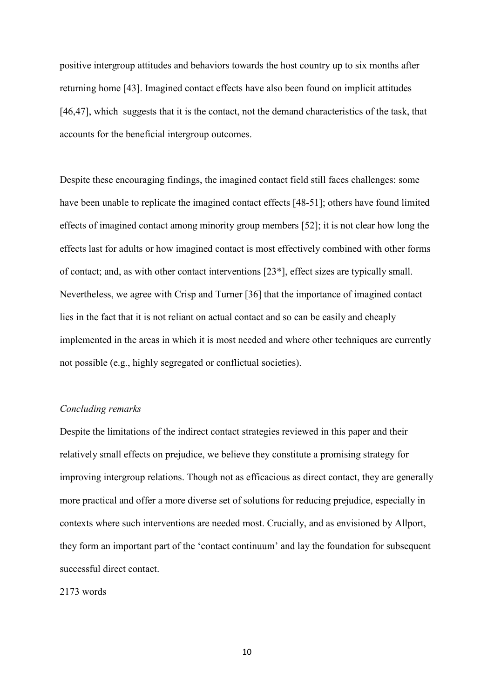positive intergroup attitudes and behaviors towards the host country up to six months after returning home [43]. Imagined contact effects have also been found on implicit attitudes [46,47], which suggests that it is the contact, not the demand characteristics of the task, that accounts for the beneficial intergroup outcomes.

Despite these encouraging findings, the imagined contact field still faces challenges: some have been unable to replicate the imagined contact effects [48-51]; others have found limited effects of imagined contact among minority group members [52]; it is not clear how long the effects last for adults or how imagined contact is most effectively combined with other forms of contact; and, as with other contact interventions [23\*], effect sizes are typically small. Nevertheless, we agree with Crisp and Turner [36] that the importance of imagined contact lies in the fact that it is not reliant on actual contact and so can be easily and cheaply implemented in the areas in which it is most needed and where other techniques are currently not possible (e.g., highly segregated or conflictual societies).

## *Concluding remarks*

Despite the limitations of the indirect contact strategies reviewed in this paper and their relatively small effects on prejudice, we believe they constitute a promising strategy for improving intergroup relations. Though not as efficacious as direct contact, they are generally more practical and offer a more diverse set of solutions for reducing prejudice, especially in contexts where such interventions are needed most. Crucially, and as envisioned by Allport, they form an important part of the 'contact continuum' and lay the foundation for subsequent successful direct contact.

### 2173 words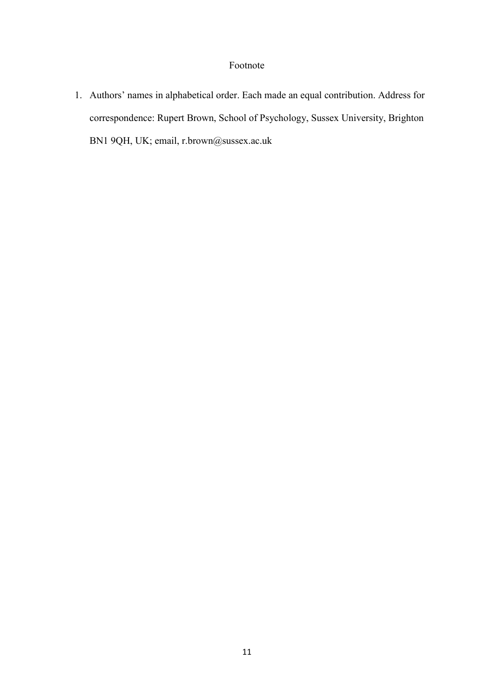# Footnote

1. Authors' names in alphabetical order. Each made an equal contribution. Address for correspondence: Rupert Brown, School of Psychology, Sussex University, Brighton BN1 9QH, UK; email, r.brown@sussex.ac.uk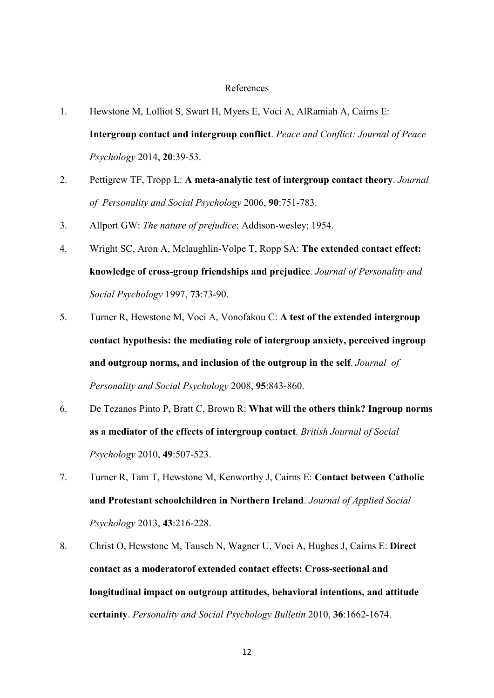## References

- 1. Hewstone M, Lolliot S, Swart H, Myers E, Voci A, AlRamiah A, Cairns E: **Intergroup contact and intergroup conflict**. *Peace and Conflict: Journal of Peace Psychology* 2014, **20**:39-53.
- 2. Pettigrew TF, Tropp L: **A meta-analytic test of intergroup contact theory**. *Journal of Personality and Social Psychology* 2006, **90**:751-783.
- 3. Allport GW: *The nature of prejudice*: Addison-wesley; 1954.
- 4. Wright SC, Aron A, Mclaughlin-Volpe T, Ropp SA: **The extended contact effect: knowledge of cross-group friendships and prejudice**. *Journal of Personality and Social Psychology* 1997, **73**:73-90.
- 5. Turner R, Hewstone M, Voci A, Vonofakou C: **A test of the extended intergroup contact hypothesis: the mediating role of intergroup anxiety, perceived ingroup and outgroup norms, and inclusion of the outgroup in the self**. *Journal of Personality and Social Psychology* 2008, **95**:843-860.
- 6. De Tezanos Pinto P, Bratt C, Brown R: **What will the others think? Ingroup norms as a mediator of the effects of intergroup contact**. *British Journal of Social Psychology* 2010, **49**:507-523.
- 7. Turner R, Tam T, Hewstone M, Kenworthy J, Cairns E: **Contact between Catholic and Protestant schoolchildren in Northern Ireland**. *Journal of Applied Social Psychology* 2013, **43**:216-228.
- 8. Christ O, Hewstone M, Tausch N, Wagner U, Voci A, Hughes J, Cairns E: **Direct contact as a moderatorof extended contact effects: Cross-sectional and longitudinal impact on outgroup attitudes, behavioral intentions, and attitude certainty**. *Personality and Social Psychology Bulletin* 2010, **36**:1662-1674.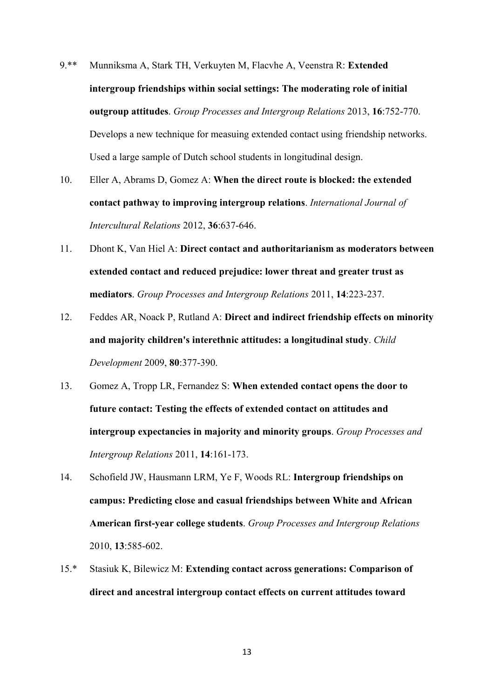- 9.\*\* Munniksma A, Stark TH, Verkuyten M, Flacvhe A, Veenstra R: **Extended intergroup friendships within social settings: The moderating role of initial outgroup attitudes**. *Group Processes and Intergroup Relations* 2013, **16**:752-770. Develops a new technique for measuing extended contact using friendship networks. Used a large sample of Dutch school students in longitudinal design.
- 10. Eller A, Abrams D, Gomez A: **When the direct route is blocked: the extended contact pathway to improving intergroup relations**. *International Journal of Intercultural Relations* 2012, **36**:637-646.
- 11. Dhont K, Van Hiel A: **Direct contact and authoritarianism as moderators between extended contact and reduced prejudice: lower threat and greater trust as mediators**. *Group Processes and Intergroup Relations* 2011, **14**:223-237.
- 12. Feddes AR, Noack P, Rutland A: **Direct and indirect friendship effects on minority and majority children's interethnic attitudes: a longitudinal study**. *Child Development* 2009, **80**:377-390.
- 13. Gomez A, Tropp LR, Fernandez S: **When extended contact opens the door to future contact: Testing the effects of extended contact on attitudes and intergroup expectancies in majority and minority groups**. *Group Processes and Intergroup Relations* 2011, **14**:161-173.
- 14. Schofield JW, Hausmann LRM, Ye F, Woods RL: **Intergroup friendships on campus: Predicting close and casual friendships between White and African American first-year college students**. *Group Processes and Intergroup Relations*  2010, **13**:585-602.
- 15.\* Stasiuk K, Bilewicz M: **Extending contact across generations: Comparison of direct and ancestral intergroup contact effects on current attitudes toward**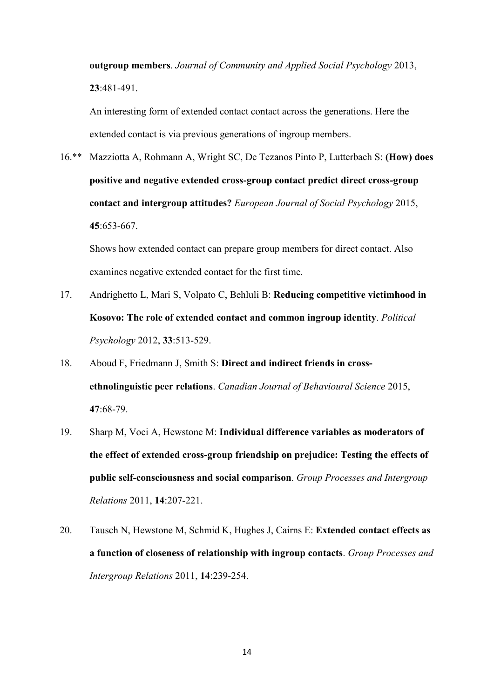**outgroup members**. *Journal of Community and Applied Social Psychology* 2013, **23**:481-491.

An interesting form of extended contact contact across the generations. Here the extended contact is via previous generations of ingroup members.

16.\*\* Mazziotta A, Rohmann A, Wright SC, De Tezanos Pinto P, Lutterbach S: **(How) does positive and negative extended cross**‐**group contact predict direct cross**‐**group contact and intergroup attitudes?** *European Journal of Social Psychology* 2015, **45**:653-667.

 Shows how extended contact can prepare group members for direct contact. Also examines negative extended contact for the first time.

- 17. Andrighetto L, Mari S, Volpato C, Behluli B: **Reducing competitive victimhood in Kosovo: The role of extended contact and common ingroup identity**. *Political Psychology* 2012, **33**:513-529.
- 18. Aboud F, Friedmann J, Smith S: **Direct and indirect friends in crossethnolinguistic peer relations**. *Canadian Journal of Behavioural Science* 2015, **47**:68-79.
- 19. Sharp M, Voci A, Hewstone M: **Individual difference variables as moderators of the effect of extended cross-group friendship on prejudice: Testing the effects of public self-consciousness and social comparison**. *Group Processes and Intergroup Relations* 2011, **14**:207-221.
- 20. Tausch N, Hewstone M, Schmid K, Hughes J, Cairns E: **Extended contact effects as a function of closeness of relationship with ingroup contacts**. *Group Processes and Intergroup Relations* 2011, **14**:239-254.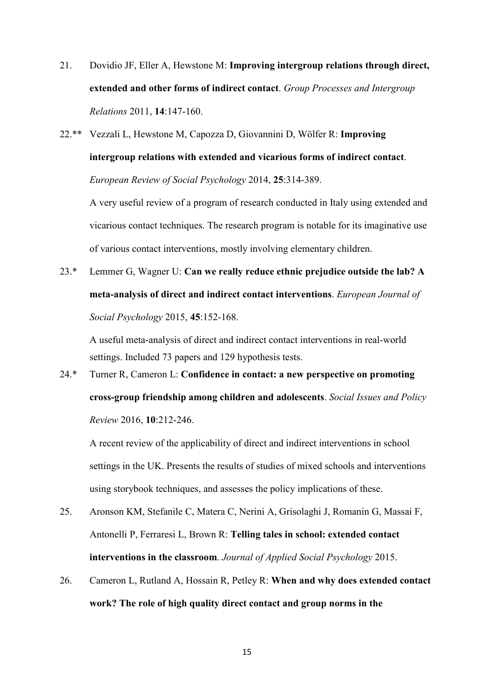21. Dovidio JF, Eller A, Hewstone M: **Improving intergroup relations through direct, extended and other forms of indirect contact**. *Group Processes and Intergroup Relations* 2011, **14**:147-160.

22.\*\* Vezzali L, Hewstone M, Capozza D, Giovannini D, Wölfer R: **Improving intergroup relations with extended and vicarious forms of indirect contact**. *European Review of Social Psychology* 2014, **25**:314-389.

A very useful review of a program of research conducted in Italy using extended and vicarious contact techniques. The research program is notable for its imaginative use of various contact interventions, mostly involving elementary children.

23.\* Lemmer G, Wagner U: **Can we really reduce ethnic prejudice outside the lab? A meta-analysis of direct and indirect contact interventions**. *European Journal of Social Psychology* 2015, **45**:152-168.

A useful meta-analysis of direct and indirect contact interventions in real-world settings. Included 73 papers and 129 hypothesis tests.

24.\* Turner R, Cameron L: **Confidence in contact: a new perspective on promoting cross-group friendship among children and adolescents**. *Social Issues and Policy Review* 2016, **10**:212-246.

A recent review of the applicability of direct and indirect interventions in school settings in the UK. Presents the results of studies of mixed schools and interventions using storybook techniques, and assesses the policy implications of these.

- 25. Aronson KM, Stefanile C, Matera C, Nerini A, Grisolaghi J, Romanin G, Massai F, Antonelli P, Ferraresi L, Brown R: **Telling tales in school: extended contact interventions in the classroom**. *Journal of Applied Social Psychology* 2015.
- 26. Cameron L, Rutland A, Hossain R, Petley R: **When and why does extended contact work? The role of high quality direct contact and group norms in the**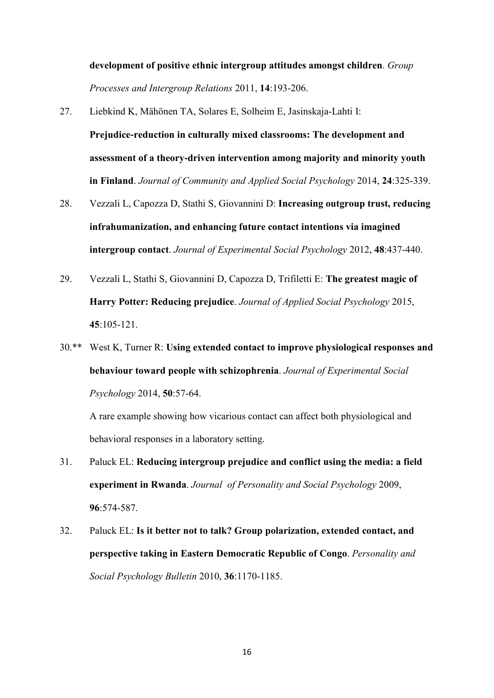**development of positive ethnic intergroup attitudes amongst children**. *Group Processes and Intergroup Relations* 2011, **14**:193-206.

- 27. Liebkind K, Mähönen TA, Solares E, Solheim E, Jasinskaja-Lahti I: **Prejudice**‐**reduction in culturally mixed classrooms: The development and assessment of a theory**‐**driven intervention among majority and minority youth in Finland**. *Journal of Community and Applied Social Psychology* 2014, **24**:325-339.
- 28. Vezzali L, Capozza D, Stathi S, Giovannini D: **Increasing outgroup trust, reducing infrahumanization, and enhancing future contact intentions via imagined intergroup contact**. *Journal of Experimental Social Psychology* 2012, **48**:437-440.
- 29. Vezzali L, Stathi S, Giovannini D, Capozza D, Trifiletti E: **The greatest magic of Harry Potter: Reducing prejudice**. *Journal of Applied Social Psychology* 2015, **45**:105-121.
- 30.\*\* West K, Turner R: **Using extended contact to improve physiological responses and behaviour toward people with schizophrenia**. *Journal of Experimental Social Psychology* 2014, **50**:57-64.

 A rare example showing how vicarious contact can affect both physiological and behavioral responses in a laboratory setting.

- 31. Paluck EL: **Reducing intergroup prejudice and conflict using the media: a field experiment in Rwanda**. *Journal of Personality and Social Psychology* 2009, **96**:574-587.
- 32. Paluck EL: **Is it better not to talk? Group polarization, extended contact, and perspective taking in Eastern Democratic Republic of Congo**. *Personality and Social Psychology Bulletin* 2010, **36**:1170-1185.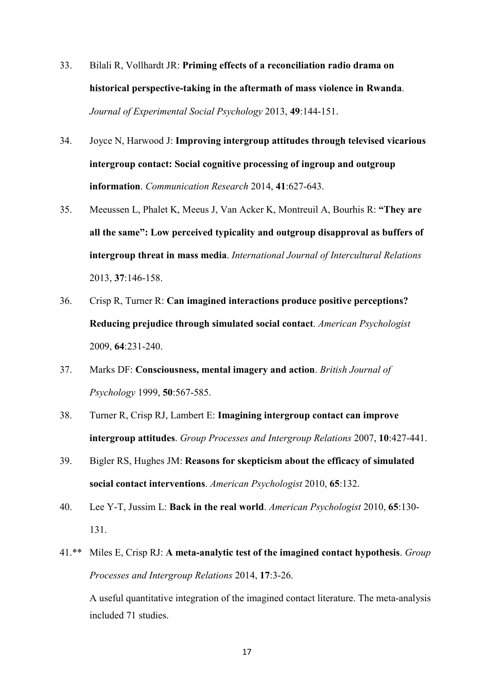- 33. Bilali R, Vollhardt JR: **Priming effects of a reconciliation radio drama on historical perspective-taking in the aftermath of mass violence in Rwanda**. *Journal of Experimental Social Psychology* 2013, **49**:144-151.
- 34. Joyce N, Harwood J: **Improving intergroup attitudes through televised vicarious intergroup contact: Social cognitive processing of ingroup and outgroup information**. *Communication Research* 2014, **41**:627-643.
- 35. Meeussen L, Phalet K, Meeus J, Van Acker K, Montreuil A, Bourhis R: **"They are all the same": Low perceived typicality and outgroup disapproval as buffers of intergroup threat in mass media**. *International Journal of Intercultural Relations*  2013, **37**:146-158.
- 36. Crisp R, Turner R: **Can imagined interactions produce positive perceptions? Reducing prejudice through simulated social contact**. *American Psychologist*  2009, **64**:231-240.
- 37. Marks DF: **Consciousness, mental imagery and action**. *British Journal of Psychology* 1999, **50**:567-585.
- 38. Turner R, Crisp RJ, Lambert E: **Imagining intergroup contact can improve intergroup attitudes**. *Group Processes and Intergroup Relations* 2007, **10**:427-441.
- 39. Bigler RS, Hughes JM: **Reasons for skepticism about the efficacy of simulated social contact interventions**. *American Psychologist* 2010, **65**:132.
- 40. Lee Y-T, Jussim L: **Back in the real world**. *American Psychologist* 2010, **65**:130- 131.
- 41.\*\* Miles E, Crisp RJ: **A meta-analytic test of the imagined contact hypothesis**. *Group Processes and Intergroup Relations* 2014, **17**:3-26.

A useful quantitative integration of the imagined contact literature. The meta-analysis included 71 studies.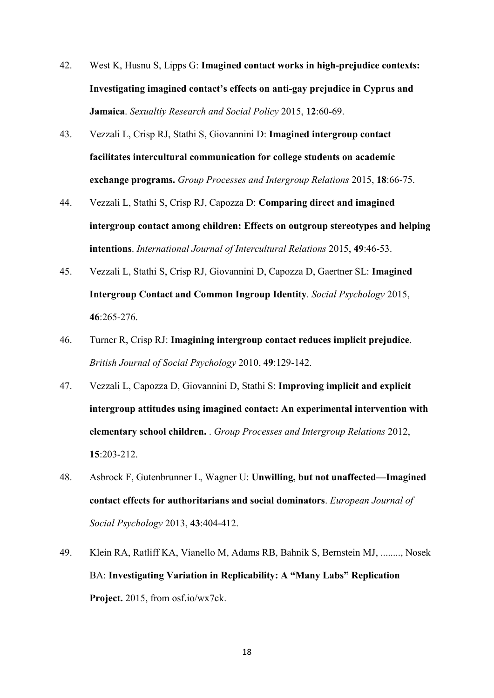- 42. West K, Husnu S, Lipps G: **Imagined contact works in high-prejudice contexts: Investigating imagined contact's effects on anti-gay prejudice in Cyprus and Jamaica**. *Sexualtiy Research and Social Policy* 2015, **12**:60-69.
- 43. Vezzali L, Crisp RJ, Stathi S, Giovannini D: **Imagined intergroup contact facilitates intercultural communication for college students on academic exchange programs.** *Group Processes and Intergroup Relations* 2015, **18**:66-75.
- 44. Vezzali L, Stathi S, Crisp RJ, Capozza D: **Comparing direct and imagined intergroup contact among children: Effects on outgroup stereotypes and helping intentions**. *International Journal of Intercultural Relations* 2015, **49**:46-53.
- 45. Vezzali L, Stathi S, Crisp RJ, Giovannini D, Capozza D, Gaertner SL: **Imagined Intergroup Contact and Common Ingroup Identity**. *Social Psychology* 2015, **46**:265-276.
- 46. Turner R, Crisp RJ: **Imagining intergroup contact reduces implicit prejudice**. *British Journal of Social Psychology* 2010, **49**:129-142.
- 47. Vezzali L, Capozza D, Giovannini D, Stathi S: **Improving implicit and explicit intergroup attitudes using imagined contact: An experimental intervention with elementary school children.** . *Group Processes and Intergroup Relations* 2012, **15**:203-212.
- 48. Asbrock F, Gutenbrunner L, Wagner U: **Unwilling, but not unaffected—Imagined contact effects for authoritarians and social dominators**. *European Journal of Social Psychology* 2013, **43**:404-412.
- 49. Klein RA, Ratliff KA, Vianello M, Adams RB, Bahnik S, Bernstein MJ, ........, Nosek BA: **Investigating Variation in Replicability: A "Many Labs" Replication Project.** 2015, from osf.io/wx7ck.